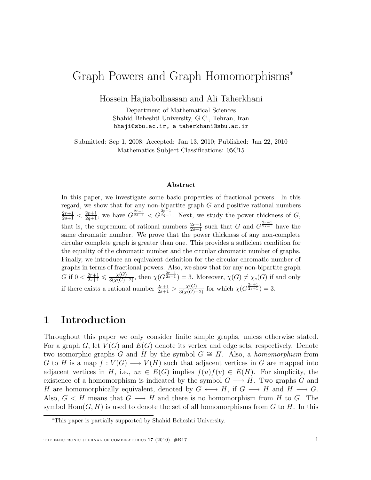# Graph Powers and Graph Homomorphisms<sup>∗</sup>

Hossein Hajiabolhassan and Ali Taherkhani

Department of Mathematical Sciences Shahid Beheshti University, G.C., Tehran, Iran hhaji@sbu.ac.ir, a taherkhani@sbu.ac.ir

Submitted: Sep 1, 2008; Accepted: Jan 13, 2010; Published: Jan 22, 2010 Mathematics Subject Classifications: 05C15

#### Abstract

In this paper, we investigate some basic properties of fractional powers. In this regard, we show that for any non-bipartite graph  $G$  and positive rational numbers  $\frac{2r+1}{2s+1} < \frac{2p+1}{2q+1}$ , we have  $G^{\frac{2r+1}{2s+1}} < G^{\frac{2p+1}{2q+1}}$ . Next, we study the power thickness of G, that is, the supremum of rational numbers  $\frac{2r+1}{2s+1}$  such that G and  $G^{\frac{2r+1}{2s+1}}$  have the same chromatic number. We prove that the power thickness of any non-complete circular complete graph is greater than one. This provides a sufficient condition for the equality of the chromatic number and the circular chromatic number of graphs. Finally, we introduce an equivalent definition for the circular chromatic number of graphs in terms of fractional powers. Also, we show that for any non-bipartite graph G if  $0 < \frac{2r+1}{2s+1} \leq \frac{\chi(G)}{3(\chi(G)-2)}$ , then  $\chi(G^{\frac{2r+1}{2s+1}}) = 3$ . Moreover,  $\chi(G) \neq \chi_c(G)$  if and only if there exists a rational number  $\frac{2r+1}{2s+1} > \frac{\chi(G)}{3(\chi(G)-2)}$  for which  $\chi(G^{\frac{2r+1}{2s+1}}) = 3$ .

### 1 Introduction

Throughout this paper we only consider finite simple graphs, unless otherwise stated. For a graph G, let  $V(G)$  and  $E(G)$  denote its vertex and edge sets, respectively. Denote two isomorphic graphs G and H by the symbol  $G \cong H$ . Also, a *homomorphism* from G to H is a map  $f: V(G) \longrightarrow V(H)$  such that adjacent vertices in G are mapped into adjacent vertices in H, i.e.,  $uv \in E(G)$  implies  $f(u)f(v) \in E(H)$ . For simplicity, the existence of a homomorphism is indicated by the symbol  $G \longrightarrow H$ . Two graphs G and H are homomorphically equivalent, denoted by  $G \leftrightarrow H$ , if  $G \rightarrow H$  and  $H \rightarrow G$ . Also,  $G < H$  means that  $G \longrightarrow H$  and there is no homomorphism from H to G. The symbol  $Hom(G, H)$  is used to denote the set of all homomorphisms from G to H. In this

<sup>∗</sup>This paper is partially supported by Shahid Beheshti University.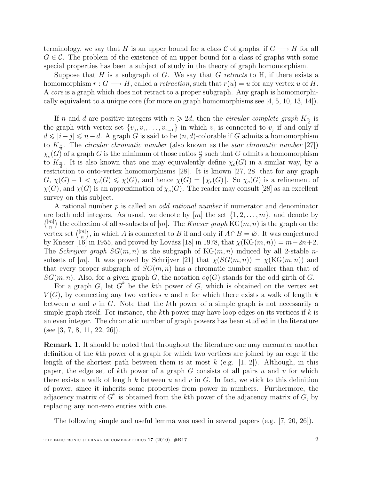terminology, we say that H is an upper bound for a class C of graphs, if  $G \longrightarrow H$  for all  $G \in \mathcal{C}$ . The problem of the existence of an upper bound for a class of graphs with some special properties has been a subject of study in the theory of graph homomorphism.

Suppose that H is a subgraph of G. We say that G retracts to H, if there exists a homomorphism  $r : G \longrightarrow H$ , called a *retraction*, such that  $r(u) = u$  for any vertex u of H. A core is a graph which does not retract to a proper subgraph. Any graph is homomorphically equivalent to a unique core (for more on graph homomorphisms see  $[4, 5, 10, 13, 14]$ ).

If n and d are positive integers with  $n \geq 2d$ , then the *circular complete graph*  $K_{\frac{n}{2}}$  is the graph with vertex set  $\{v_0, v_1, \ldots, v_{n-1}\}$  in which  $v_i$  is connected to  $v_j$  if and only if  $d \leqslant |i - j| \leqslant n - d$ . A graph G is said to be  $(n, d)$ -colorable if G admits a homomorphism to  $K_{\frac{n}{2}}$ . The *circular chromatic number* (also known as the *star chromatic number* [27])  $\chi_c(G)$  of a graph G is the minimum of those ratios  $\frac{n}{d}$  such that G admits a homomorphism to  $K_{\frac{n}{d}}$ . It is also known that one may equivalently define  $\chi_c(G)$  in a similar way, by a restriction to onto-vertex homomorphisms [28]. It is known [27, 28] that for any graph  $G, \chi(G)-1<\chi_c(G)\leq \chi(G)$ , and hence  $\chi(G)=[\chi_c(G)]$ . So  $\chi_c(G)$  is a refinement of  $\chi(G)$ , and  $\chi(G)$  is an approximation of  $\chi_c(G)$ . The reader may consult [28] as an excellent survey on this subject.

A rational number p is called an *odd rational number* if numerator and denominator are both odd integers. As usual, we denote by  $[m]$  the set  $\{1, 2, \ldots, m\}$ , and denote by  $\binom{[m]}{n}$  $\binom{m}{n}$  the collection of all *n*-subsets of  $[m]$ . The *Kneser graph* KG $(m, n)$  is the graph on the vertex set  $\binom{[m]}{n}$  $\binom{m}{n}$ , in which A is connected to B if and only if  $A \cap B = \emptyset$ . It was conjectured by Kneser [16] in 1955, and proved by Lovász [18] in 1978, that  $\chi(KG(m, n)) = m-2n+2$ . The *Schrijver graph*  $SG(m, n)$  is the subgraph of  $KG(m, n)$  induced by all 2-stable *n*subsets of [m]. It was proved by Schrijver [21] that  $\chi(SG(m, n)) = \chi(\text{KG}(m, n))$  and that every proper subgraph of  $SG(m, n)$  has a chromatic number smaller than that of  $SG(m, n)$ . Also, for a given graph G, the notation  $oq(G)$  stands for the odd girth of G.

For a graph G, let  $G^k$  be the kth power of G, which is obtained on the vertex set  $V(G)$ , by connecting any two vertices u and v for which there exists a walk of length k between u and v in G. Note that the kth power of a simple graph is not necessarily a simple graph itself. For instance, the kth power may have loop edges on its vertices if  $k$  is an even integer. The chromatic number of graph powers has been studied in the literature (see [3, 7, 8, 11, 22, 26]).

Remark 1. It should be noted that throughout the literature one may encounter another definition of the kth power of a graph for which two vertices are joined by an edge if the length of the shortest path between them is at most  $k$  (e.g. [1, 2]). Although, in this paper, the edge set of kth power of a graph G consists of all pairs u and v for which there exists a walk of length  $k$  between  $u$  and  $v$  in  $G$ . In fact, we stick to this definition of power, since it inherits some properties from power in numbers. Furthermore, the adjacency matrix of  $G<sup>k</sup>$  is obtained from the kth power of the adjacency matrix of  $G$ , by replacing any non-zero entries with one.

The following simple and useful lemma was used in several papers (e.g. [7, 20, 26]).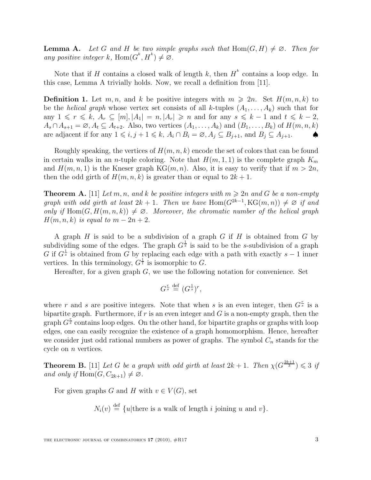**Lemma A.** Let G and H be two simple graphs such that  $Hom(G, H) \neq \emptyset$ . Then for any positive integer k, Hom $(G^k, H^k) \neq \emptyset$ .

Note that if H contains a closed walk of length k, then  $H^k$  contains a loop edge. In this case, Lemma A trivially holds. Now, we recall a definition from [11].

**Definition 1.** Let m, n, and k be positive integers with  $m \ge 2n$ . Set  $H(m, n, k)$  to be the *helical graph* whose vertex set consists of all k-tuples  $(A_1, \ldots, A_k)$  such that for any  $1 \leq r \leq k$ ,  $A_r \subseteq [m], |A_1| = n, |A_r| \geq n$  and for any  $s \leq k-1$  and  $t \leq k-2$ ,  $A_s \cap A_{s+1} = \emptyset$ ,  $A_t \subseteq A_{t+2}$ . Also, two vertices  $(A_1, \ldots, A_k)$  and  $(B_1, \ldots, B_k)$  of  $H(m, n, k)$ are adjacent if for any  $1 \leq i, j + 1 \leq k, A_i \cap B_i = \emptyset, A_j \subseteq B_{j+1}$ , and  $B_j \subseteq A_{j+1}$ .

Roughly speaking, the vertices of  $H(m, n, k)$  encode the set of colors that can be found in certain walks in an *n*-tuple coloring. Note that  $H(m, 1, 1)$  is the complete graph  $K_m$ and  $H(m, n, 1)$  is the Kneser graph KG $(m, n)$ . Also, it is easy to verify that if  $m > 2n$ , then the odd girth of  $H(m, n, k)$  is greater than or equal to  $2k + 1$ .

**Theorem A.** [11] Let m, n, and k be positive integers with  $m \ge 2n$  and G be a non-empty graph with odd girth at least  $2k + 1$ . Then we have  $\text{Hom}(G^{2k-1}, \text{KG}(m, n)) \neq \emptyset$  if and only if  $\text{Hom}(G, H(m, n, k)) \neq \emptyset$ . Moreover, the chromatic number of the helical graph  $H(m, n, k)$  is equal to  $m - 2n + 2$ .

A graph  $H$  is said to be a subdivision of a graph  $G$  if  $H$  is obtained from  $G$  by subdividing some of the edges. The graph  $G^{\frac{1}{s}}$  is said to be the s-subdivision of a graph G if  $G^{\frac{1}{s}}$  is obtained from G by replacing each edge with a path with exactly  $s-1$  inner vertices. In this terminology,  $G^{\frac{1}{1}}$  is isomorphic to G.

Hereafter, for a given graph  $G$ , we use the following notation for convenience. Set

$$
G^{\frac{r}{s}} \stackrel{\text{def}}{=} (G^{\frac{1}{s}})^r,
$$

where r and s are positive integers. Note that when s is an even integer, then  $G_s^{\frac{r}{s}}$  is a bipartite graph. Furthermore, if  $r$  is an even integer and  $G$  is a non-empty graph, then the graph  $G_s^{\frac{r}{s}}$  contains loop edges. On the other hand, for bipartite graphs or graphs with loop edges, one can easily recognize the existence of a graph homomorphism. Hence, hereafter we consider just odd rational numbers as power of graphs. The symbol  $C_n$  stands for the cycle on n vertices.

**Theorem B.** [11] Let G be a graph with odd girth at least  $2k + 1$ . Then  $\chi(G^{\frac{2k+1}{3}}) \leq 3$  if and only if  $\text{Hom}(G, C_{2k+1}) \neq \emptyset$ .

For given graphs G and H with  $v \in V(G)$ , set

 $N_i(v) \stackrel{\text{def}}{=} \{u | \text{there is a walk of length } i \text{ joining } u \text{ and } v\}.$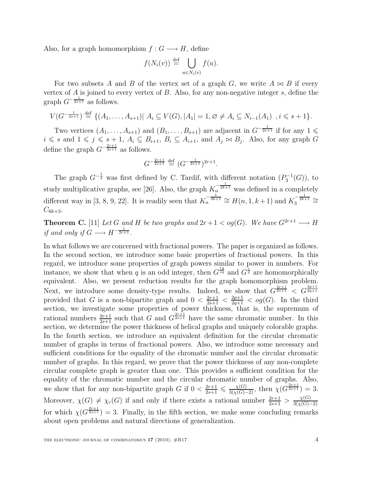Also, for a graph homomorphism  $f: G \longrightarrow H$ , define

$$
f(N_i(v)) \stackrel{\text{def}}{=} \bigcup_{u \in N_i(v)} f(u).
$$

For two subsets A and B of the vertex set of a graph G, we write  $A \Join B$  if every vertex of A is joined to every vertex of B. Also, for any non-negative integer  $s$ , define the graph  $G^{-\frac{1}{2s+1}}$  as follows.

$$
V(G^{-\frac{1}{2s+1}}) \stackrel{\text{def}}{=} \{ (A_1, \ldots, A_{s+1}) | A_i \subseteq V(G), |A_1| = 1, \varnothing \neq A_i \subseteq N_{i-1}(A_1), i \leq s+1 \}.
$$

Two vertices  $(A_1, \ldots, A_{s+1})$  and  $(B_1, \ldots, B_{s+1})$  are adjacent in  $G^{-\frac{1}{2s+1}}$  if for any  $1 \leq$  $i \leq s$  and  $1 \leq j \leq s + 1$ ,  $A_i \subseteq B_{i+1}$ ,  $B_i \subseteq A_{i+1}$ , and  $A_j \bowtie B_j$ . Also, for any graph G define the graph  $G^{-\frac{2r+1}{2s+1}}$  as follows.

$$
G^{-\frac{2r+1}{2s+1}} \stackrel{\text{def}}{=} (G^{-\frac{1}{2s+1}})^{2r+1}.
$$

The graph  $G^{-\frac{1}{3}}$  was first defined by C. Tardif, with different notation  $(P_3^{-1}(G))$ , to study multiplicative graphs, see [26]. Also, the graph  $K_n^{-\frac{1}{2k+1}}$  was defined in a completely different way in [3, 8, 9, 22]. It is readily seen that  $K_n^{-\frac{1}{2k+1}} \cong H(n, 1, k+1)$  and  $K_3^{-\frac{1}{2k+1}} \cong$  $C_{6k+3}.$ 

**Theorem C.** [11] Let G and H be two graphs and  $2r+1 < og(G)$ . We have  $G^{2r+1} \longrightarrow H$ if and only if  $G \longrightarrow H^{-\frac{1}{2r+1}}$ .

In what follows we are concerned with fractional powers. The paper is organized as follows. In the second section, we introduce some basic properties of fractional powers. In this regard, we introduce some properties of graph powers similar to power in numbers. For instance, we show that when q is an odd integer, then  $G^{\frac{rq}{sq}}$  and  $G^{\frac{r}{s}}$  are homomorphically equivalent. Also, we present reduction results for the graph homomorphism problem. Next, we introduce some density-type results. Indeed, we show that  $G^{\frac{2r+1}{2s+1}} < G^{\frac{2p+1}{2q+1}}$ provided that G is a non-bipartite graph and  $0 < \frac{2r+1}{2s+1} < \frac{2p+1}{2q+1} < \log(G)$ . In the third section, we investigate some properties of power thickness, that is, the supremum of rational numbers  $\frac{2r+1}{2s+1}$  such that G and  $G^{\frac{2r+1}{2s+1}}$  have the same chromatic number. In this section, we determine the power thickness of helical graphs and uniquely colorable graphs. In the fourth section, we introduce an equivalent definition for the circular chromatic number of graphs in terms of fractional powers. Also, we introduce some necessary and sufficient conditions for the equality of the chromatic number and the circular chromatic number of graphs. In this regard, we prove that the power thickness of any non-complete circular complete graph is greater than one. This provides a sufficient condition for the equality of the chromatic number and the circular chromatic number of graphs. Also, we show that for any non-bipartite graph G if  $0 < \frac{2r+1}{2s+1} \leq \frac{\chi(G)}{3(\chi(G)-2)}$ , then  $\chi(G^{\frac{2r+1}{2s+1}}) = 3$ . Moreover,  $\chi(G) \neq \chi_c(G)$  if and only if there exists a rational number  $\frac{2r+1}{2s+1} > \frac{\chi(G)}{3(\chi(G))}$  $3(\chi(G)-2)$ for which  $\chi(G^{\frac{2r+1}{2s+1}})=3$ . Finally, in the fifth section, we make some concluding remarks about open problems and natural directions of generalization.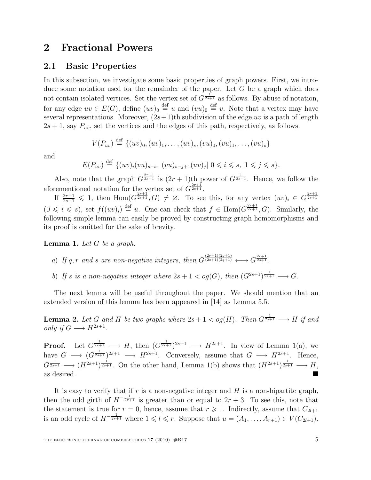### 2 Fractional Powers

### 2.1 Basic Properties

In this subsection, we investigate some basic properties of graph powers. First, we introduce some notation used for the remainder of the paper. Let  $G$  be a graph which does not contain isolated vertices. Set the vertex set of  $G^{\frac{1}{2s+1}}$  as follows. By abuse of notation, for any edge  $uv \in E(G)$ , define  $(uv)_0 \stackrel{\text{def}}{=} u$  and  $(vu)_0 \stackrel{\text{def}}{=} v$ . Note that a vertex may have several representations. Moreover,  $(2s+1)$ th subdivision of the edge uv is a path of length  $2s + 1$ , say  $P_{uv}$ , set the vertices and the edges of this path, respectively, as follows.

$$
V(P_{uv}) \stackrel{\text{def}}{=} \{(uv)_0, (uv)_1, \ldots, (uv)_s, (vu)_0, (vu)_1, \ldots, (vu)_s\}
$$

and

$$
E(P_{uv}) \stackrel{\text{def}}{=} \{ (uv)_i (vu)_{s-i}, \ (vu)_{s-j+1} (uv)_j | \ 0 \leq i \leq s, \ 1 \leq j \leq s \}.
$$

Also, note that the graph  $G^{\frac{2r+1}{2s+1}}$  is  $(2r+1)$ th power of  $G^{\frac{1}{2s+1}}$ . Hence, we follow the aforementioned notation for the vertex set of  $G^{\frac{2r+1}{2s+1}}$ .

If  $\frac{2r+1}{2s+1} \leq 1$ , then  $\text{Hom}(G^{\frac{2r+1}{2s+1}}, G) \neq \emptyset$ . To see this, for any vertex  $(uv)_i \in G^{\frac{2r+1}{2s+1}}$  $(0 \leq i \leq s)$ , set  $f((uv)_i) \stackrel{\text{def}}{=} u$ . One can check that  $f \in \text{Hom}(G^{\frac{2r+1}{2s+1}}, G)$ . Similarly, the following simple lemma can easily be proved by constructing graph homomorphisms and its proof is omitted for the sake of brevity.

**Lemma 1.** Let  $G$  be a graph.

- a) If q, r and s are non-negative integers, then  $G^{\frac{(2r+1)(2q+1)}{(2s+1)(2q+1)}} \longleftrightarrow G^{\frac{2r+1}{2s+1}}$ .
- b) If s is a non-negative integer where  $2s + 1 < og(G)$ , then  $(G^{2s+1})^{\frac{1}{2s+1}} \longrightarrow G$ .

The next lemma will be useful throughout the paper. We should mention that an extended version of this lemma has been appeared in [14] as Lemma 5.5.

**Lemma 2.** Let G and H be two graphs where  $2s + 1 < og(H)$ . Then  $G^{\frac{1}{2s+1}} \longrightarrow H$  if and only if  $G \longrightarrow H^{2s+1}$ .

**Proof.** Let  $G^{\frac{1}{2s+1}} \longrightarrow H$ , then  $(G^{\frac{1}{2s+1}})^{2s+1} \longrightarrow H^{2s+1}$ . In view of Lemma 1(a), we have  $G \longrightarrow (G^{\frac{1}{2s+1}})^{2s+1} \longrightarrow H^{2s+1}$ . Conversely, assume that  $G \longrightarrow H^{2s+1}$ . Hence,  $G^{\frac{1}{2s+1}} \longrightarrow (H^{2s+1})^{\frac{1}{2s+1}}$ . On the other hand, Lemma 1(b) shows that  $(H^{2s+1})^{\frac{1}{2s+1}} \longrightarrow H$ , as desired.

It is easy to verify that if  $r$  is a non-negative integer and  $H$  is a non-bipartite graph, then the odd girth of  $H^{-\frac{1}{2r+1}}$  is greater than or equal to  $2r+3$ . To see this, note that the statement is true for  $r = 0$ , hence, assume that  $r \geq 1$ . Indirectly, assume that  $C_{2l+1}$ is an odd cycle of  $H^{-\frac{1}{2r+1}}$  where  $1 \leq l \leq r$ . Suppose that  $u = (A_1, \ldots, A_{r+1}) \in V(C_{2l+1})$ .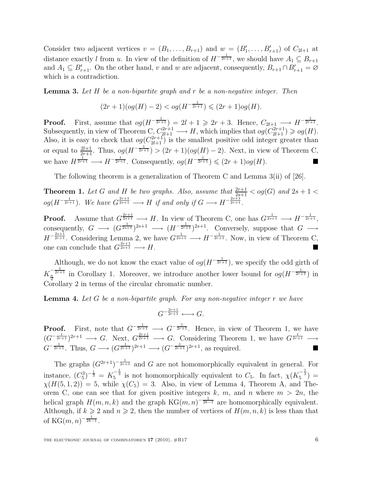Consider two adjacent vertices  $v = (B_1, \ldots, B_{r+1})$  and  $w = (B'_1, \ldots, B'_{r+1})$  of  $C_{2l+1}$  at distance exactly l from u. In view of the definition of  $H^{-\frac{1}{2r+1}}$ , we should have  $A_1 \subseteq B_{r+1}$ and  $A_1 \subseteq B'_{r+1}$ . On the other hand, v and w are adjacent, consequently,  $B_{r+1} \cap B'_{r+1} = \emptyset$ which is a contradiction.

**Lemma 3.** Let  $H$  be a non-bipartite graph and  $r$  be a non-negative integer. Then

$$
(2r+1)(og(H)-2) < og(H^{-\frac{1}{2r+1}}) \leq (2r+1)og(H).
$$

**Proof.** First, assume that  $og(H^{-\frac{1}{2r+1}}) = 2l+1 \geq 2r+3$ . Hence,  $C_{2l+1} \longrightarrow H^{-\frac{1}{2r+1}}$ . Subsequently, in view of Theorem C,  $C_{2l+1}^{2r+1} \longrightarrow H$ , which implies that  $og(C_{2l+1}^{2r+1}) \geqslant og(H)$ . Also, it is easy to check that  $og(C_{2l+1}^{2r+1})$  is the smallest positive odd integer greater than or equal to  $\frac{2l+1}{2r+1}$ . Thus,  $og(H^{-\frac{1}{2r+1}}) > (2r+1)(og(H)-2)$ . Next, in view of Theorem C, we have  $H^{\frac{1}{2r+1}} \longrightarrow H^{-\frac{1}{2r+1}}$ . Consequently,  $og(H^{-\frac{1}{2r+1}}) \leq (2r+1)og(H)$ .

The following theorem is a generalization of Theorem C and Lemma 3(ii) of [26].

**Theorem 1.** Let G and H be two graphs. Also, assume that  $\frac{2r+1}{2s+1} <$  og(G) and  $2s + 1 <$  $og(H^{-\frac{1}{2r+1}})$ . We have  $G^{\frac{2r+1}{2s+1}} \longrightarrow H$  if and only if  $G \longrightarrow H^{-\frac{2s+1}{2r+1}}$ .

**Proof.** Assume that  $G^{\frac{2r+1}{2s+1}} \longrightarrow H$ . In view of Theorem C, one has  $G^{\frac{1}{2s+1}} \longrightarrow H^{-\frac{1}{2r+1}}$ , consequently,  $G \longrightarrow (G^{\frac{1}{2s+1}})^{2s+1} \longrightarrow (H^{-\frac{1}{2r+1}})^{2s+1}$ . Conversely, suppose that  $G \longrightarrow$  $H^{-\frac{2s+1}{2r+1}}$ . Considering Lemma 2, we have  $G^{\frac{1}{2s+1}} \longrightarrow H^{-\frac{1}{2r+1}}$ . Now, in view of Theorem C, one can conclude that  $G^{\frac{2r+1}{2s+1}} \longrightarrow H$ .

Although, we do not know the exact value of  $og(H^{-\frac{1}{2r+1}})$ , we specify the odd girth of  $K_{\frac{n}{d}}^{-\frac{1}{2r+1}}$  in Corollary 1. Moreover, we introduce another lower bound for  $og(H^{-\frac{1}{2r+1}})$  in Corollary 2 in terms of the circular chromatic number.

**Lemma 4.** Let G be a non-bipartite graph. For any non-negative integer r we have

$$
G^{-\frac{2r+1}{2r+1}} \longleftrightarrow G.
$$

**Proof.** First, note that  $G^{-\frac{1}{2r+1}} \longrightarrow G^{-\frac{1}{2r+1}}$ . Hence, in view of Theorem 1, we have  $(G^{-\frac{1}{2r+1}})^{2r+1} \longrightarrow G$ . Next,  $G^{\frac{2r+1}{2r+1}} \longrightarrow G$ . Considering Theorem 1, we have  $G^{\frac{1}{2r+1}} \longrightarrow$  $G^{-\frac{1}{2r+1}}$ . Thus,  $G \longrightarrow (G^{\frac{1}{2r+1}})^{2r+1} \longrightarrow (G^{-\frac{1}{2r+1}})^{2r+1}$ , as required.

The graphs  $(G^{2r+1})^{-\frac{1}{2r+1}}$  and G are not homomorphically equivalent in general. For instance,  $(C_5^3)^{-\frac{1}{3}} = K_5^{-\frac{1}{3}}$  is not homomorphically equivalent to  $C_5$ . In fact,  $\chi(K_5^{-\frac{1}{3}})$  $\chi(H(5,1,2)) = 5$ , while  $\chi(C_5) = 3$ . Also, in view of Lemma 4, Theorem A, and Theorem C, one can see that for given positive integers k, m, and n where  $m > 2n$ , the helical graph  $H(m, n, k)$  and the graph  $KG(m, n)^{-\frac{1}{2k-1}}$  are homomorphically equivalent. Although, if  $k \geq 2$  and  $n \geq 2$ , then the number of vertices of  $H(m, n, k)$  is less than that of  $KG(m, n)^{-\frac{1}{2k-1}}$ .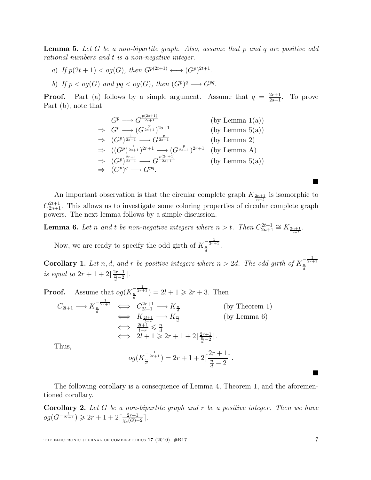**Lemma 5.** Let  $G$  be a non-bipartite graph. Also, assume that  $p$  and  $q$  are positive odd rational numbers and t is a non-negative integer.

- a) If  $p(2t + 1) < og(G)$ , then  $G^{p(2t+1)} \longleftrightarrow (G^p)^{2t+1}$ .
- b) If  $p < og(G)$  and  $pq < og(G)$ , then  $(G<sup>p</sup>)<sup>q</sup> \longrightarrow G<sup>pq</sup>$ .

**Proof.** Part (a) follows by a simple argument. Assume that  $q = \frac{2r+1}{2s+1}$ To prove Part (b), note that

$$
G^p \longrightarrow G^{\frac{p(2s+1)}{2s+1}}
$$
 (by Lemma 1(a))  
\n
$$
\Rightarrow G^p \longrightarrow (G^{\frac{p}{2s+1}})^{2s+1}
$$
 (by Lemma 5(a))  
\n
$$
\Rightarrow (G^p)^{\frac{1}{2s+1}} \longrightarrow G^{\frac{p}{2s+1}}
$$
 (by Lemma 2)  
\n
$$
\Rightarrow ((G^p)^{\frac{1}{2s+1}})^{2r+1} \longrightarrow (G^{\frac{p}{2s+1}})^{2r+1}
$$
 (by Lemma A)  
\n
$$
\Rightarrow (G^p)^{\frac{2r+1}{2s+1}} \longrightarrow G^{\frac{p(2r+1)}{2s+1}}
$$
 (by Lemma 5(a))  
\n
$$
\Rightarrow (G^p)^q \longrightarrow G^{pq}.
$$

An important observation is that the circular complete graph  $K_{\frac{2n+1}{n-t}}$  is isomorphic to  $C_{2n+1}^{2t+1}$ . This allows us to investigate some coloring properties of circular complete graph powers. The next lemma follows by a simple discussion.

**Lemma 6.** Let n and t be non-negative integers where  $n > t$ . Then  $C_{2n+1}^{2t+1} \cong K_{\frac{2n+1}{n-t}}$ .

Now, we are ready to specify the odd girth of  $K_{\frac{n}{d}}^{-\frac{1}{2r+1}}$ .

**Corollary 1.** Let n, d, and r be positive integers where  $n > 2d$ . The odd girth of  $K_{\frac{n}{d}}^{-\frac{1}{2r+1}}$ is equal to  $2r + 1 + 2\left[\frac{2r+1}{\frac{n}{d}-2}\right]$ .

Proof. Assume that 
$$
og(K_{\frac{n}{d}}^{-\frac{1}{2r+1}}) = 2l + 1 \geq 2r + 3
$$
. Then  
\n
$$
C_{2l+1} \longrightarrow K_{\frac{n}{d}}^{-\frac{1}{2r+1}} \iff C_{2l+1}^{2r+1} \longrightarrow K_{\frac{n}{d}}^{n}
$$
 (by Theorem 1)  
\n
$$
\iff K_{\frac{2l+1}{l-r}} \longrightarrow K_{\frac{n}{d}}^{n}
$$
 (by Lemma 6)  
\n
$$
\iff \frac{2l+1}{l-r} \leq \frac{n}{d}
$$
  
\n
$$
\iff 2l+1 \geq 2r+1+2\lceil \frac{2r+1}{\frac{n}{d}-2} \rceil.
$$

Thus,

$$
og(K_{\frac{n}{d}}^{-\frac{1}{2r+1}}) = 2r + 1 + 2\lceil \frac{2r+1}{\frac{n}{d}-2} \rceil.
$$

The following corollary is a consequence of Lemma 4, Theorem 1, and the aforementioned corollary.

**Corollary 2.** Let  $G$  be a non-bipartite graph and  $r$  be a positive integer. Then we have  $og(G^{-\frac{1}{2r+1}}) \geq 2r+1+2\lceil \frac{2r+1}{\sqrt{G}} \rceil$  $\frac{2r+1}{\chi_c(G)-2}$ .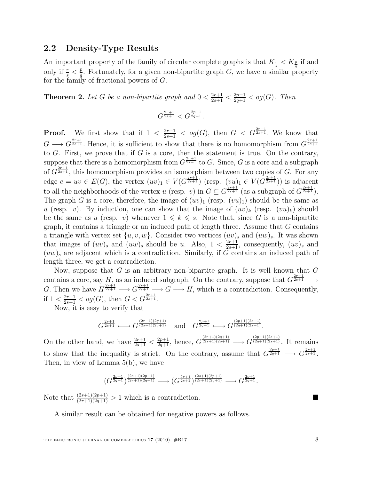### 2.2 Density-Type Results

An important property of the family of circular complete graphs is that  $K_{\frac{r}{s}} < K_{\frac{p}{q}}$  if and only if  $\frac{r}{s} < \frac{p}{q}$  $\frac{p}{q}$ . Fortunately, for a given non-bipartite graph G, we have a similar property for the family of fractional powers of G.

**Theorem 2.** Let G be a non-bipartite graph and  $0 < \frac{2r+1}{2s+1} < \frac{2p+1}{2q+1} <$  og(G). Then

$$
G^{\frac{2r+1}{2s+1}} < G^{\frac{2p+1}{2q+1}}.
$$

**Proof.** We first show that if  $1 < \frac{2r+1}{2s+1} < og(G)$ , then  $G < G^{\frac{2r+1}{2s+1}}$ . We know that  $G \longrightarrow G^{\frac{2r+1}{2s+1}}$ . Hence, it is sufficient to show that there is no homomorphism from  $G^{\frac{2r+1}{2s+1}}$ to G. First, we prove that if G is a core, then the statement is true. On the contrary, suppose that there is a homomorphism from  $G^{\frac{2r+1}{2s+1}}$  to G. Since, G is a core and a subgraph of  $G^{\frac{2r+1}{2s+1}}$ , this homomorphism provides an isomorphism between two copies of G. For any edge  $e = uv \in E(G)$ , the vertex  $(uv)_1 \in V(G^{\frac{2r+1}{2s+1}})$  (resp.  $(vu)_1 \in V(G^{\frac{2r+1}{2s+1}})$ ) is adjacent to all the neighborhoods of the vertex u (resp. v) in  $G \subseteq G^{\frac{2r+1}{2s+1}}$  (as a subgraph of  $G^{\frac{2r+1}{2s+1}}$ ). The graph G is a core, therefore, the image of  $(uv)_1$  (resp.  $(vu)_1$ ) should be the same as u (resp. v). By induction, one can show that the image of  $(uv)_k$  (resp.  $(vu)_k$ ) should be the same as u (resp. v) whenever  $1 \leq k \leq s$ . Note that, since G is a non-bipartite graph, it contains a triangle or an induced path of length three. Assume that  $G$  contains a triangle with vertex set  $\{u, v, w\}$ . Consider two vertices  $(uv)_s$  and  $(uw)_s$ . It was shown that images of  $(uv)_s$  and  $(uw)_s$  should be u. Also,  $1 < \frac{2r+1}{2s+1}$ , consequently,  $(uv)_s$  and  $(uw)_s$  are adjacent which is a contradiction. Similarly, if G contains an induced path of length three, we get a contradiction.

Now, suppose that  $G$  is an arbitrary non-bipartite graph. It is well known that  $G$ contains a core, say H, as an induced subgraph. On the contrary, suppose that  $G^{\frac{2r+1}{2s+1}} \longrightarrow$ G. Then we have  $H^{\frac{2r+1}{2s+1}} \longrightarrow G^{\frac{2r+1}{2s+1}} \longrightarrow G \longrightarrow H$ , which is a contradiction. Consequently, if  $1 < \frac{2r+1}{2s+1} < og(G)$ , then  $G < G^{\frac{2r+1}{2s+1}}$ .

Now, it is easy to verify that

$$
G^{\frac{2r+1}{2s+1}} \longleftrightarrow G^{\frac{(2r+1)(2q+1)}{(2s+1)(2q+1)}} \quad \text{and} \quad G^{\frac{2p+1}{2q+1}} \longleftrightarrow G^{\frac{(2p+1)(2s+1)}{(2q+1)(2s+1)}}.
$$

On the other hand, we have  $\frac{2r+1}{2s+1} < \frac{2p+1}{2q+1}$ , hence,  $G^{\frac{(2r+1)(2q+1)}{(2s+1)(2q+1)}} \longrightarrow G^{\frac{(2p+1)(2s+1)}{(2q+1)(2s+1)}}$ . It remains to show that the inequality is strict. On the contrary, assume that  $G^{\frac{2p+1}{2q+1}} \longrightarrow G^{\frac{2r+1}{2s+1}}$ . Then, in view of Lemma 5(b), we have

$$
(G^{\frac{2p+1}{2q+1}})^{\frac{(2s+1)(2p+1)}{(2r+1)(2q+1)}}\longrightarrow (G^{\frac{2r+1}{2s+1}})^{\frac{(2s+1)(2p+1)}{(2r+1)(2q+1)}}\longrightarrow G^{\frac{2p+1}{2q+1}}.
$$

Note that  $\frac{(2s+1)(2p+1)}{(2r+1)(2q+1)} > 1$  which is a contradiction.

A similar result can be obtained for negative powers as follows.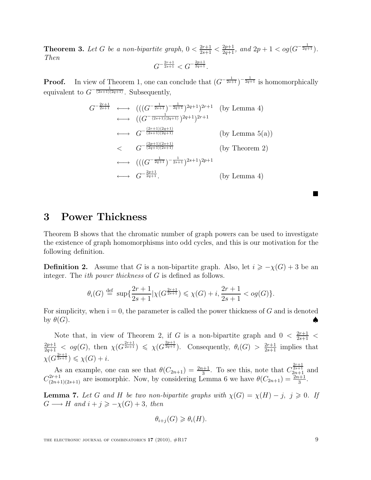**Theorem 3.** Let G be a non-bipartite graph,  $0 < \frac{2r+1}{2s+1} < \frac{2p+1}{2q+1}$ , and  $2p+1 < \log(G^{-\frac{1}{2q+1}})$ . Then  $G^{-\frac{2r+1}{2s+1}} < G^{-\frac{2p+1}{2q+1}}$ .

**Proof.** In view of Theorem 1, one can conclude that  $(G^{-\frac{1}{2s+1}})^{-\frac{1}{2q+1}}$  is homomorphically equivalent to  $G^{-\frac{1}{(2s+1)(2q+1)}}$ . Subsequently,

$$
G^{-\frac{2r+1}{2s+1}} \longleftrightarrow ((\frac{G^{-\frac{1}{2s+1}})^{-\frac{1}{2q+1}}}{2q+1})^{2q+1}2^{r+1}
$$
 (by Lemma 4)  
\n
$$
\longleftrightarrow (\frac{G^{-\frac{(2r+1)(2q+1)}{(2s+1)(2q+1)}}}{2^{r+1}})^{2r+1}
$$
 (by Lemma 5(a))  
\n
$$
\leq G^{-\frac{(2p+1)(2s+1)}{(2q+1)(2s+1)}}
$$
 (by Theorem 2)  
\n
$$
\longleftrightarrow ((\frac{G^{-\frac{1}{2q+1}}}{2^{r+1}})^{-\frac{1}{2s+1}})^{2s+1}2^{p+1}
$$
  
\n
$$
\longleftrightarrow G^{-\frac{2p+1}{2q+1}}.
$$
 (by Lemma 4)

### 3 Power Thickness

Theorem B shows that the chromatic number of graph powers can be used to investigate the existence of graph homomorphisms into odd cycles, and this is our motivation for the following definition.

**Definition 2.** Assume that G is a non-bipartite graph. Also, let  $i \geq -\chi(G) + 3$  be an integer. The *ith power thickness* of G is defined as follows.

$$
\theta_i(G) \stackrel{\text{def}}{=} \sup \{ \frac{2r+1}{2s+1} | \chi(G^{\frac{2r+1}{2s+1}}) \leq \chi(G) + i, \frac{2r+1}{2s+1} < og(G) \}.
$$

For simplicity, when  $i = 0$ , the parameter is called the power thickness of G and is denoted by  $\theta(G)$ .

Note that, in view of Theorem 2, if G is a non-bipartite graph and  $0 < \frac{2r+1}{2s+1}$  $\frac{2p+1}{2q+1} < \log(G)$ , then  $\chi(G^{\frac{2r+1}{2s+1}}) \leq \chi(G^{\frac{2p+1}{2q+1}})$ . Consequently,  $\theta_i(G) > \frac{2r+1}{2s+1}$  implies that  $\chi(G^{\frac{2r+1}{2s+1}}) \leqslant \chi(G) + i.$ 

As an example, one can see that  $\theta(C_{2n+1}) = \frac{2n+1}{3}$ . To see this, note that  $C_{2n+1}^{\frac{2r+1}{2s+1}}$  and  $C_{(2n+1)(2s+1)}^{2r+1}$  are isomorphic. Now, by considering Lemma 6 we have  $\theta(C_{2n+1}) = \frac{2n+1}{3}$ .

**Lemma 7.** Let G and H be two non-bipartite graphs with  $\chi(G) = \chi(H) - j$ ,  $j \geq 0$ . If  $G \longrightarrow H$  and  $i + j \geqslant -\chi(G) + 3$ , then

$$
\theta_{i+j}(G) \geq \theta_i(H).
$$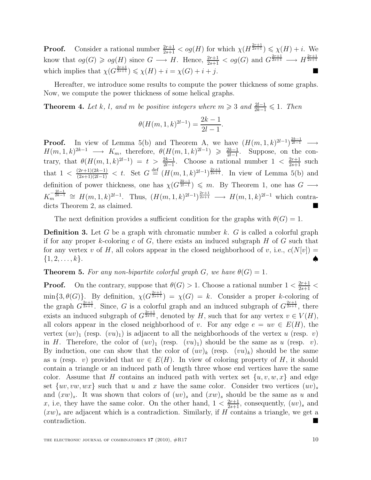**Proof.** Consider a rational number  $\frac{2r+1}{2s+1} < og(H)$  for which  $\chi(H^{\frac{2r+1}{2s+1}}) \leq \chi(H) + i$ . We know that  $og(G) \geqslant og(H)$  since  $G \longrightarrow H$ . Hence,  $\frac{2r+1}{2s+1} < og(G)$  and  $G^{\frac{2r+1}{2s+1}} \longrightarrow H^{\frac{2r+1}{2s+1}}$ which implies that  $\chi(G^{\frac{2r+1}{2s+1}}) \leq \chi(H) + i = \chi(G) + i + j$ .

Hereafter, we introduce some results to compute the power thickness of some graphs. Now, we compute the power thickness of some helical graphs.

**Theorem 4.** Let k, l, and m be positive integers where  $m \geq 3$  and  $\frac{2l-1}{2k-1} \leq 1$ . Then

$$
\theta(H(m, 1, k)^{2l-1}) = \frac{2k-1}{2l-1}.
$$

**Proof.** In view of Lemma 5(b) and Theorem A, we have  $(H(m, 1, k)^{2l-1})^{\frac{2k-1}{2l-1}} \longrightarrow$  $H(m, 1, k)^{2k-1} \longrightarrow K_m$ , therefore,  $\theta(H(m, 1, k)^{2l-1}) \geq \frac{2k-1}{2l-1}$  $\frac{2k-1}{2l-1}$ . Suppose, on the contrary, that  $\theta(H(m, 1, k)^{2l-1}) = t > \frac{2k-1}{2l-1}$ . Choose a rational number  $1 < \frac{2r+1}{2s+1}$  such that  $1 < \frac{(2r+1)(2k-1)}{(2s+1)(2l-1)} < t$ . Set  $G \stackrel{\text{def}}{=} (H(m,1,k)^{2l-1})^{\frac{2r+1}{2s+1}}$ . In view of Lemma 5(b) and definition of power thickness, one has  $\chi(G^{\frac{2k-1}{2l-1}}) \leq m$ . By Theorem 1, one has  $G \longrightarrow$  $K_m^{-\frac{2l-1}{2k-1}} \cong H(m,1,k)^{2l-1}$ . Thus,  $(H(m,1,k)^{2l-1})^{\frac{2r+1}{2s+1}} \longrightarrow H(m,1,k)^{2l-1}$  which contradicts Theorem 2, as claimed.

The next definition provides a sufficient condition for the graphs with  $\theta(G) = 1$ .

**Definition 3.** Let G be a graph with chromatic number k. G is called a colorful graph if for any proper k-coloring c of G, there exists an induced subgraph  $H$  of G such that for any vertex v of H, all colors appear in the closed neighborhood of v, i.e.,  $c(N[v]) =$  $\{1, 2, \ldots, k\}.$ 

**Theorem 5.** For any non-bipartite colorful graph G, we have  $\theta(G) = 1$ .

**Proof.** On the contrary, suppose that  $\theta(G) > 1$ . Choose a rational number  $1 < \frac{2r+1}{2s+1} <$  $\min\{3,\theta(G)\}\.$  By definition,  $\chi(G^{\frac{2r+1}{2s+1}})=\chi(G)=k$ . Consider a proper k-coloring of the graph  $G^{\frac{2r+1}{2s+1}}$ . Since, G is a colorful graph and an induced subgraph of  $G^{\frac{2r+1}{2s+1}}$ , there exists an induced subgraph of  $G^{\frac{2r+1}{2s+1}}$ , denoted by H, such that for any vertex  $v \in V(H)$ , all colors appear in the closed neighborhood of v. For any edge  $e = uv \in E(H)$ , the vertex  $(uv)_1$  (resp.  $(vu)_1$ ) is adjacent to all the neighborhoods of the vertex u (resp. v) in H. Therefore, the color of  $(uv)_1$  (resp.  $(vu)_1$ ) should be the same as u (resp. v). By induction, one can show that the color of  $(uv)_k$  (resp.  $(vu)_k$ ) should be the same as u (resp. v) provided that  $uv \in E(H)$ . In view of coloring property of H, it should contain a triangle or an induced path of length three whose end vertices have the same color. Assume that H contains an induced path with vertex set  $\{u, v, w, x\}$  and edge set  $\{uv, vw, wx\}$  such that u and x have the same color. Consider two vertices  $(uv)_s$ and  $(xw)_s$ . It was shown that colors of  $(uv)_s$  and  $(xw)_s$  should be the same as u and x, i.e, they have the same color. On the other hand,  $1 < \frac{2r+1}{2s+1}$ , consequently,  $(uv)_s$  and  $(xw)_s$  are adjacent which is a contradiction. Similarly, if H contains a triangle, we get a contradiction.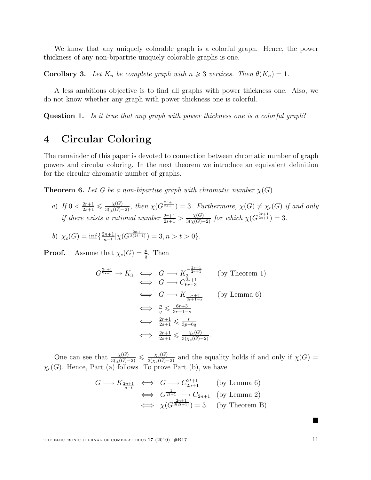We know that any uniquely colorable graph is a colorful graph. Hence, the power thickness of any non-bipartite uniquely colorable graphs is one.

**Corollary 3.** Let  $K_n$  be complete graph with  $n \geq 3$  vertices. Then  $\theta(K_n) = 1$ .

A less ambitious objective is to find all graphs with power thickness one. Also, we do not know whether any graph with power thickness one is colorful.

Question 1. Is it true that any graph with power thickness one is a colorful graph?

## 4 Circular Coloring

The remainder of this paper is devoted to connection between chromatic number of graph powers and circular coloring. In the next theorem we introduce an equivalent definition for the circular chromatic number of graphs.

**Theorem 6.** Let G be a non-bipartite graph with chromatic number  $\chi(G)$ .

a) If  $0 < \frac{2r+1}{2s+1} \leq \frac{\chi(G)}{3(\chi(G)-2)}$ , then  $\chi(G^{\frac{2r+1}{2s+1}}) = 3$ . Furthermore,  $\chi(G) \neq \chi_c(G)$  if and only if there exists a rational number  $\frac{2r+1}{2s+1} > \frac{\chi(G)}{3(\chi(G)-2)}$  for which  $\chi(G^{\frac{2r+1}{2s+1}}) = 3$ .

b) 
$$
\chi_c(G) = \inf \{ \frac{2n+1}{n-t} | \chi(G^{\frac{2n+1}{3(2t+1)}}) = 3, n > t > 0 \}.
$$

**Proof.** Assume that  $\chi_c(G) = \frac{p}{q}$ . Then

$$
G^{\frac{2r+1}{2s+1}} \to K_3 \iff G \longrightarrow K_3^{\frac{2s+1}{2r+1}}
$$
 (by Theorem 1)  
\n
$$
\iff G \longrightarrow C_{6r+3}^{2s+1}
$$
  
\n
$$
\iff G \longrightarrow K_{\frac{6r+3}{3r+1-s}}
$$
 (by Lemma 6)  
\n
$$
\iff \frac{p}{q} \leq \frac{6r+3}{3r+1-s}
$$
  
\n
$$
\iff \frac{2r+1}{2s+1} \leq \frac{p}{3p-6q}
$$
  
\n
$$
\iff \frac{2r+1}{2s+1} \leq \frac{\chi_c(G)}{3(\chi_c(G)-2)}.
$$

One can see that  $\frac{\chi(G)}{3(\chi(G)-2)} \leq \frac{\chi_c(G)}{3(\chi_c(G)-2)}$  and the equality holds if and only if  $\chi(G)$  =  $\chi_c(G)$ . Hence, Part (a) follows. To prove Part (b), we have

$$
G \longrightarrow K_{\frac{2n+1}{n-t}} \iff G \longrightarrow C_{2n+1}^{2t+1} \qquad \text{(by Lemma 6)}
$$
  

$$
\iff G^{\frac{1}{2t+1}} \longrightarrow C_{2n+1} \qquad \text{(by Lemma 2)}
$$
  

$$
\iff \chi(G^{\frac{2n+1}{3(2t+1)}}) = 3. \qquad \text{(by Theorem B)}
$$

 $\blacksquare$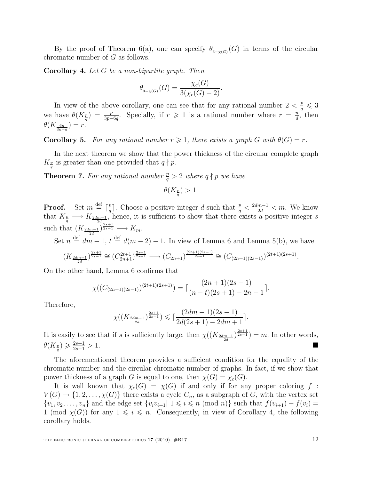By the proof of Theorem 6(a), one can specify  $\theta_{3-\chi(G)}(G)$  in terms of the circular chromatic number of G as follows.

Corollary 4. Let G be a non-bipartite graph. Then

$$
\theta_{3-\chi(G)}(G) = \frac{\chi_c(G)}{3(\chi_c(G) - 2)}.
$$

In view of the above corollary, one can see that for any rational number  $2 < \frac{p}{q} \leq 3$ we have  $\theta(K_{\frac{p}{q}}) = \frac{p}{3p-6q}$ . Specially, if  $r \geq 1$  is a rational number where  $r = \frac{n}{d}$  $\frac{n}{d}$ , then  $\theta(K_{\frac{6n}{3n-d}})=r.$ 

**Corollary 5.** For any rational number  $r \geq 1$ , there exists a graph G with  $\theta(G) = r$ .

In the next theorem we show that the power thickness of the circular complete graph  $K_{\frac{p}{q}}$  is greater than one provided that  $q \nmid p$ .

**Theorem 7.** For any rational number  $\frac{p}{q} > 2$  where  $q \nmid p$  we have

$$
\theta(K_{\frac{p}{q}}) > 1.
$$

**Proof.** Set  $m \stackrel{\text{def}}{=} \lceil \frac{p}{q} \rceil$  $\frac{p}{q}$ . Choose a positive integer d such that  $\frac{p}{q} < \frac{2dm-1}{2d} < m$ . We know that  $K_{\frac{p}{q}} \longrightarrow K_{\frac{2dm-1}{2d}}$ , hence, it is sufficient to show that there exists a positive integer s such that  $(K_{\frac{2dm-1}{2d}})^{\frac{2s+1}{2s-1}} \longrightarrow K_m$ .

Set  $n \stackrel{\text{def}}{=} dm - 1$ ,  $t \stackrel{\text{def}}{=} d(m - 2) - 1$ . In view of Lemma 6 and Lemma 5(b), we have

$$
(K_{\frac{2dm-1}{2d}})^{\frac{2s+1}{2s-1}} \cong (C_{2n+1}^{2t+1})^{\frac{2s+1}{2s-1}} \longrightarrow (C_{2n+1})^{\frac{(2t+1)(2s+1)}{2s-1}} \cong (C_{(2n+1)(2s-1)})^{(2t+1)(2s+1)}.
$$

On the other hand, Lemma 6 confirms that

$$
\chi((C_{(2n+1)(2s-1)})^{(2t+1)(2s+1)}) = \lceil \frac{(2n+1)(2s-1)}{(n-t)(2s+1) - 2n - 1} \rceil.
$$

Therefore,

$$
\chi((K_{\frac{2dm-1}{2d}})^{\frac{2s+1}{2s-1}}) \leqslant \lceil \frac{(2dm-1)(2s-1)}{2d(2s+1)-2dm+1} \rceil.
$$

It is easily to see that if s is sufficiently large, then  $\chi((K_{\frac{2dm-1}{2d}})^{\frac{2s+1}{2s-1}})=m$ . In other words,  $\theta(K_{\frac{p}{q}}) \geqslant \frac{2s+1}{2s-1}$  $\frac{2s+1}{2s-1} > 1.$ 

The aforementioned theorem provides a sufficient condition for the equality of the chromatic number and the circular chromatic number of graphs. In fact, if we show that power thickness of a graph G is equal to one, then  $\chi(G) = \chi_c(G)$ .

It is well known that  $\chi_c(G) = \chi(G)$  if and only if for any proper coloring f:  $V(G) \to \{1, 2, \ldots, \chi(G)\}\$  there exists a cycle  $C_n$ , as a subgraph of G, with the vertex set  $\{v_1, v_2, \ldots, v_n\}$  and the edge set  $\{v_i v_{i+1} | 1 \leq i \leq n \pmod{n}\}$  such that  $f(v_{i+1}) - f(v_i) =$ 1 (mod  $\chi(G)$ ) for any  $1 \leq i \leq n$ . Consequently, in view of Corollary 4, the following corollary holds.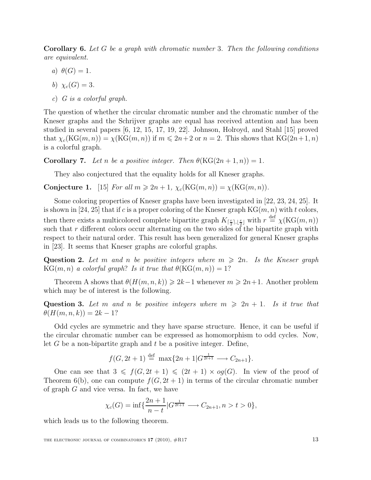**Corollary 6.** Let G be a graph with chromatic number 3. Then the following conditions are equivalent.

- a)  $\theta(G) = 1$ .
- b)  $\chi_c(G) = 3$ .
- c) G is a colorful graph.

The question of whether the circular chromatic number and the chromatic number of the Kneser graphs and the Schrijver graphs are equal has received attention and has been studied in several papers [6, 12, 15, 17, 19, 22]. Johnson, Holroyd, and Stahl [15] proved that  $\chi_c(\text{KG}(m, n)) = \chi(\text{KG}(m, n))$  if  $m \leq 2n+2$  or  $n = 2$ . This shows that  $\text{KG}(2n+1, n)$ is a colorful graph.

**Corollary 7.** Let n be a positive integer. Then  $\theta(KG(2n+1,n)) = 1$ .

They also conjectured that the equality holds for all Kneser graphs.

Conjecture 1. [15] For all  $m \geq 2n + 1$ ,  $\chi_c(\text{KG}(m, n)) = \chi(\text{KG}(m, n))$ .

Some coloring properties of Kneser graphs have been investigated in [22, 23, 24, 25]. It is shown in [24, 25] that if c is a proper coloring of the Kneser graph  $KG(m, n)$  with t colors, then there exists a multicolored complete bipartite graph  $K_{\lceil \frac{r}{2} \rceil, \lfloor \frac{r}{2} \rfloor}$  with  $r \stackrel{\text{def}}{=} \chi(\text{KG}(m, n))$ such that  $r$  different colors occur alternating on the two sides of the bipartite graph with respect to their natural order. This result has been generalized for general Kneser graphs in [23]. It seems that Kneser graphs are colorful graphs.

Question 2. Let m and n be positive integers where  $m \geq 2n$ . Is the Kneser graph  $KG(m, n)$  a colorful graph? Is it true that  $\theta(KG(m, n)) = 1$ ?

Theorem A shows that  $\theta(H(m, n, k)) \geqslant 2k-1$  whenever  $m \geqslant 2n+1$ . Another problem which may be of interest is the following.

Question 3. Let m and n be positive integers where  $m \geq 2n + 1$ . Is it true that  $\theta(H(m, n, k)) = 2k - 1?$ 

Odd cycles are symmetric and they have sparse structure. Hence, it can be useful if the circular chromatic number can be expressed as homomorphism to odd cycles. Now, let G be a non-bipartite graph and  $t$  be a positive integer. Define,

$$
f(G, 2t+1) \stackrel{\text{def}}{=} \max\{2n+1|G^{\frac{1}{2t+1}} \longrightarrow C_{2n+1}\}.
$$

One can see that  $3 \leq f(G, 2t + 1) \leq (2t + 1) \times og(G)$ . In view of the proof of Theorem 6(b), one can compute  $f(G, 2t + 1)$  in terms of the circular chromatic number of graph G and vice versa. In fact, we have

$$
\chi_c(G) = \inf \{ \frac{2n+1}{n-t} | G^{\frac{1}{2t+1}} \longrightarrow C_{2n+1}, n > t > 0 \},\
$$

which leads us to the following theorem.

THE ELECTRONIC JOURNAL OF COMBINATORICS  $17$  (2010),  $\#R17$  13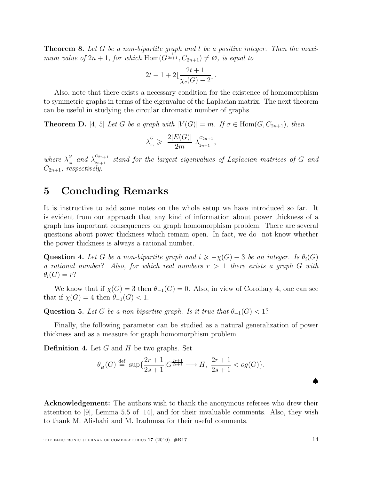**Theorem 8.** Let G be a non-bipartite graph and t be a positive integer. Then the maximum value of  $2n + 1$ , for which  $\text{Hom}(G^{\frac{1}{2t+1}}, C_{2n+1}) \neq \emptyset$ , is equal to

$$
2t + 1 + 2\left[\frac{2t + 1}{\chi_c(G) - 2}\right].
$$

Also, note that there exists a necessary condition for the existence of homomorphism to symmetric graphs in terms of the eigenvalue of the Laplacian matrix. The next theorem can be useful in studying the circular chromatic number of graphs.

**Theorem D.** [4, 5] Let G be a graph with  $|V(G)| = m$ . If  $\sigma \in \text{Hom}(G, C_{2n+1})$ , then

$$
\lambda_m^G \geqslant \frac{2|E(G)|}{2m} \lambda_{2n+1}^{C_{2n+1}},
$$

where  $\lambda_n^G$  $\int_{m}^{G}$  and  $\lambda_{2n+1}^{C_{2n+1}}$  $\frac{C_{2n+1}}{2n+1}$  stand for the largest eigenvalues of Laplacian matrices of G and  $C_{2n+1}$ , respectively.

### 5 Concluding Remarks

It is instructive to add some notes on the whole setup we have introduced so far. It is evident from our approach that any kind of information about power thickness of a graph has important consequences on graph homomorphism problem. There are several questions about power thickness which remain open. In fact, we do not know whether the power thickness is always a rational number.

**Question 4.** Let G be a non-bipartite graph and  $i \geq -\chi(G) + 3$  be an integer. Is  $\theta_i(G)$ a rational number? Also, for which real numbers  $r > 1$  there exists a graph G with  $\theta_i(G) = r$ ?

We know that if  $\chi(G) = 3$  then  $\theta_{-1}(G) = 0$ . Also, in view of Corollary 4, one can see that if  $\chi(G) = 4$  then  $\theta_{-1}(G) < 1$ .

Question 5. Let G be a non-bipartite graph. Is it true that  $\theta_{-1}(G) < 1$ ?

Finally, the following parameter can be studied as a natural generalization of power thickness and as a measure for graph homomorphism problem.

**Definition 4.** Let  $G$  and  $H$  be two graphs. Set

$$
\theta_H(G) \stackrel{\text{def}}{=} \sup \{ \frac{2r+1}{2s+1} | G^{\frac{2r+1}{2s+1}} \longrightarrow H, \ \frac{2r+1}{2s+1} < og(G) \}.
$$

Acknowledgement: The authors wish to thank the anonymous referees who drew their attention to [9], Lemma 5.5 of [14], and for their invaluable comments. Also, they wish to thank M. Alishahi and M. Iradmusa for their useful comments.

♠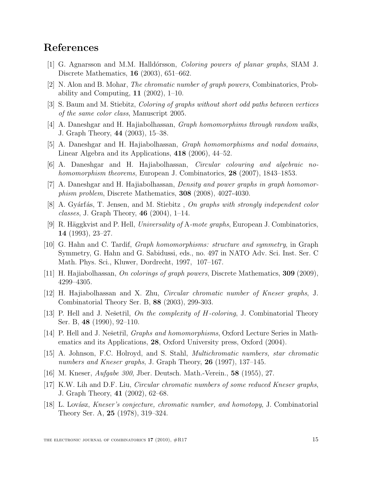# References

- [1] G. Agnarsson and M.M. Halldórsson, *Coloring powers of planar graphs*, SIAM J. Discrete Mathematics, 16 (2003), 651–662.
- [2] N. Alon and B. Mohar, The chromatic number of graph powers, Combinatorics, Probability and Computing,  $11$  (2002), 1–10.
- [3] S. Baum and M. Stiebitz, Coloring of graphs without short odd paths between vertices of the same color class, Manuscript 2005.
- [4] A. Daneshgar and H. Hajiabolhassan, Graph homomorphims through random walks, J. Graph Theory, 44 (2003), 15–38.
- [5] A. Daneshgar and H. Hajiabolhassan, Graph homomorphisms and nodal domains, Linear Algebra and its Applications, 418 (2006), 44–52.
- [6] A. Daneshgar and H. Hajiabolhassan, Circular colouring and algebraic nohomomorphism theorems, European J. Combinatorics, 28 (2007), 1843–1853.
- [7] A. Daneshgar and H. Hajiabolhassan, Density and power graphs in graph homomorphism problem, Discrete Mathematics, 308 (2008), 4027-4030.
- [8] A. Gyárfás, T. Jensen, and M. Stiebitz , On graphs with strongly independent color *classes*, J. Graph Theory, **46** (2004), 1–14.
- [9] R. Häggkvist and P. Hell, *Universality of A-mote graphs*, European J. Combinatorics, 14 (1993), 23–27.
- [10] G. Hahn and C. Tardif, Graph homomorphisms: structure and symmetry, in Graph Symmetry, G. Hahn and G. Sabidussi, eds., no. 497 in NATO Adv. Sci. Inst. Ser. C Math. Phys. Sci., Kluwer, Dordrecht, 1997, 107–167.
- [11] H. Hajiabolhassan, On colorings of graph powers, Discrete Mathematics, 309 (2009), 4299–4305.
- [12] H. Hajiabolhassan and X. Zhu, Circular chromatic number of Kneser graphs, J. Combinatorial Theory Ser. B, 88 (2003), 299-303.
- [13] P. Hell and J. Nešetřil, On the complexity of  $H$ -coloring, J. Combinatorial Theory Ser. B, 48 (1990), 92–110.
- [14] P. Hell and J. Nešetřil, *Graphs and homomorphisms*, Oxford Lecture Series in Mathematics and its Applications, 28, Oxford University press, Oxford (2004).
- [15] A. Johnson, F.C. Holroyd, and S. Stahl, Multichromatic numbers, star chromatic numbers and Kneser graphs, J. Graph Theory, 26 (1997), 137–145.
- [16] M. Kneser, Aufgabe 300, Jber. Deutsch. Math.-Verein., 58 (1955), 27.
- [17] K.W. Lih and D.F. Liu, Circular chromatic numbers of some reduced Kneser graphs, J. Graph Theory, 41 (2002), 62–68.
- [18] L. Lovász, *Kneser's conjecture, chromatic number, and homotopy*, J. Combinatorial Theory Ser. A, 25 (1978), 319–324.